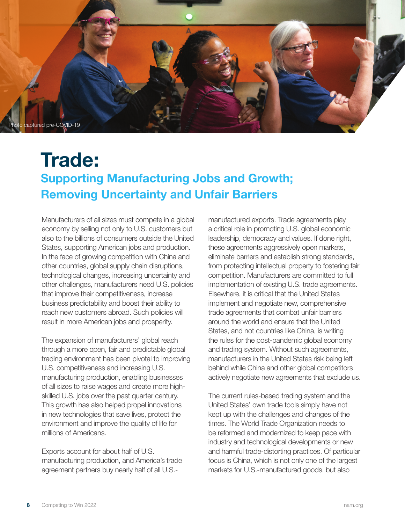

## **Trade: Supporting Manufacturing Jobs and Growth; Removing Uncertainty and Unfair Barriers**

Manufacturers of all sizes must compete in a global economy by selling not only to U.S. customers but also to the billions of consumers outside the United States, supporting American jobs and production. In the face of growing competition with China and other countries, global supply chain disruptions, technological changes, increasing uncertainty and other challenges, manufacturers need U.S. policies that improve their competitiveness, increase business predictability and boost their ability to reach new customers abroad. Such policies will result in more American jobs and prosperity.

The expansion of manufacturers' global reach through a more open, fair and predictable global trading environment has been pivotal to improving U.S. competitiveness and increasing U.S. manufacturing production, enabling businesses of all sizes to raise wages and create more highskilled U.S. jobs over the past quarter century. This growth has also helped propel innovations in new technologies that save lives, protect the environment and improve the quality of life for millions of Americans.

Exports account for about half of U.S. manufacturing production, and America's trade agreement partners buy nearly half of all U.S.-

manufactured exports. Trade agreements play a critical role in promoting U.S. global economic leadership, democracy and values. If done right, these agreements aggressively open markets, eliminate barriers and establish strong standards, from protecting intellectual property to fostering fair competition. Manufacturers are committed to full implementation of existing U.S. trade agreements. Elsewhere, it is critical that the United States implement and negotiate new, comprehensive trade agreements that combat unfair barriers around the world and ensure that the United States, and not countries like China, is writing the rules for the post-pandemic global economy and trading system. Without such agreements, manufacturers in the United States risk being left behind while China and other global competitors actively negotiate new agreements that exclude us.

The current rules-based trading system and the United States' own trade tools simply have not kept up with the challenges and changes of the times. The World Trade Organization needs to be reformed and modernized to keep pace with industry and technological developments or new and harmful trade-distorting practices. Of particular focus is China, which is not only one of the largest markets for U.S.-manufactured goods, but also